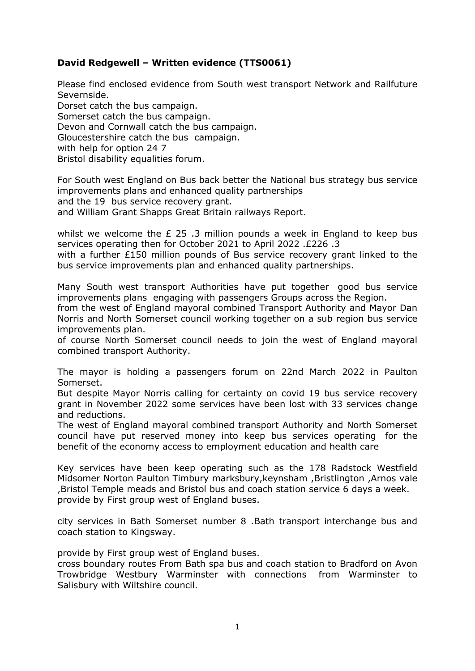## **David Redgewell – Written evidence (TTS0061)**

Please find enclosed evidence from South west transport Network and Railfuture Severnside. Dorset catch the bus campaign. Somerset catch the bus campaign. Devon and Cornwall catch the bus campaign. Gloucestershire catch the bus campaign. with help for option 24 7 Bristol disability equalities forum.

For South west England on Bus back better the National bus strategy bus service improvements plans and enhanced quality partnerships and the 19 bus service recovery grant.

and William Grant Shapps Great Britain railways Report.

whilst we welcome the  $E$  25.3 million pounds a week in England to keep bus services operating then for October 2021 to April 2022 .£226 .3

with a further £150 million pounds of Bus service recovery grant linked to the bus service improvements plan and enhanced quality partnerships.

Many South west transport Authorities have put together good bus service improvements plans engaging with passengers Groups across the Region.

from the west of England mayoral combined Transport Authority and Mayor Dan Norris and North Somerset council working together on a sub region bus service improvements plan.

of course North Somerset council needs to join the west of England mayoral combined transport Authority.

The mayor is holding a passengers forum on 22nd March 2022 in Paulton Somerset.

But despite Mayor Norris calling for certainty on covid 19 bus service recovery grant in November 2022 some services have been lost with 33 services change and reductions.

The west of England mayoral combined transport Authority and North Somerset council have put reserved money into keep bus services operating for the benefit of the economy access to employment education and health care

Key services have been keep operating such as the 178 Radstock Westfield Midsomer Norton Paulton Timbury marksbury,keynsham ,Bristlington ,Arnos vale ,Bristol Temple meads and Bristol bus and coach station service 6 days a week. provide by First group west of England buses.

city services in Bath Somerset number 8 .Bath transport interchange bus and coach station to Kingsway.

provide by First group west of England buses.

cross boundary routes From Bath spa bus and coach station to Bradford on Avon Trowbridge Westbury Warminster with connections from Warminster to Salisbury with Wiltshire council.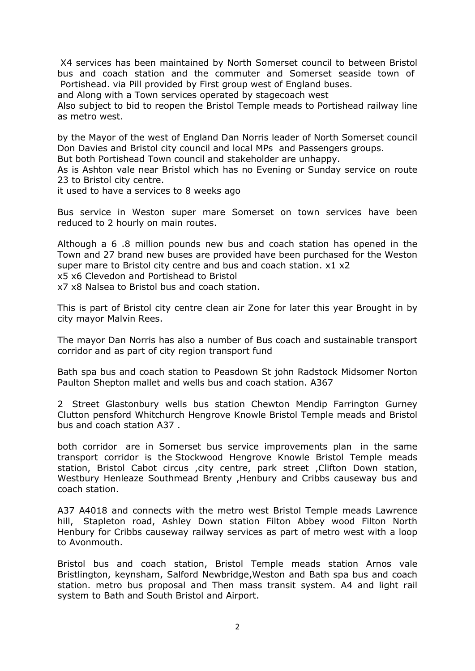X4 services has been maintained by North Somerset council to between Bristol bus and coach station and the commuter and Somerset seaside town of Portishead. via Pill provided by First group west of England buses.

and Along with a Town services operated by stagecoach west

Also subject to bid to reopen the Bristol Temple meads to Portishead railway line as metro west.

by the Mayor of the west of England Dan Norris leader of North Somerset council Don Davies and Bristol city council and local MPs and Passengers groups.

But both Portishead Town council and stakeholder are unhappy.

As is Ashton vale near Bristol which has no Evening or Sunday service on route 23 to Bristol city centre.

it used to have a services to 8 weeks ago

Bus service in Weston super mare Somerset on town services have been reduced to 2 hourly on main routes.

Although a 6 .8 million pounds new bus and coach station has opened in the Town and 27 brand new buses are provided have been purchased for the Weston super mare to Bristol city centre and bus and coach station. x1 x2 x5 x6 Clevedon and Portishead to Bristol

x7 x8 Nalsea to Bristol bus and coach station.

This is part of Bristol city centre clean air Zone for later this year Brought in by city mayor Malvin Rees.

The mayor Dan Norris has also a number of Bus coach and sustainable transport corridor and as part of city region transport fund

Bath spa bus and coach station to Peasdown St john Radstock Midsomer Norton Paulton Shepton mallet and wells bus and coach station. A367

2 Street Glastonbury wells bus station Chewton Mendip Farrington Gurney Clutton pensford Whitchurch Hengrove Knowle Bristol Temple meads and Bristol bus and coach station A37 .

both corridor are in Somerset bus service improvements plan in the same transport corridor is the Stockwood Hengrove Knowle Bristol Temple meads station, Bristol Cabot circus , city centre, park street , Clifton Down station, Westbury Henleaze Southmead Brenty ,Henbury and Cribbs causeway bus and coach station.

A37 A4018 and connects with the metro west Bristol Temple meads Lawrence hill, Stapleton road, Ashley Down station Filton Abbey wood Filton North Henbury for Cribbs causeway railway services as part of metro west with a loop to Avonmouth.

Bristol bus and coach station, Bristol Temple meads station Arnos vale Bristlington, keynsham, Salford Newbridge,Weston and Bath spa bus and coach station. metro bus proposal and Then mass transit system. A4 and light rail system to Bath and South Bristol and Airport.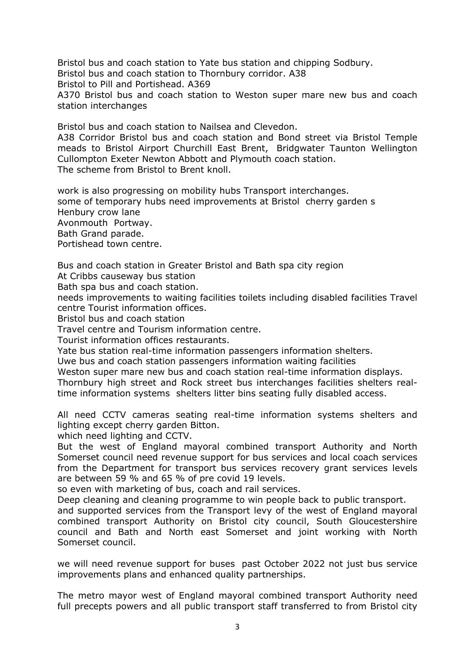Bristol bus and coach station to Yate bus station and chipping Sodbury. Bristol bus and coach station to Thornbury corridor. A38 Bristol to Pill and Portishead. A369 A370 Bristol bus and coach station to Weston super mare new bus and coach station interchanges

Bristol bus and coach station to Nailsea and Clevedon.

A38 Corridor Bristol bus and coach station and Bond street via Bristol Temple meads to Bristol Airport Churchill East Brent, Bridgwater Taunton Wellington Cullompton Exeter Newton Abbott and Plymouth coach station. The scheme from Bristol to Brent knoll.

work is also progressing on mobility hubs Transport interchanges. some of temporary hubs need improvements at Bristol cherry garden s Henbury crow lane Avonmouth Portway. Bath Grand parade. Portishead town centre.

Bus and coach station in Greater Bristol and Bath spa city region At Cribbs causeway bus station

Bath spa bus and coach station.

needs improvements to waiting facilities toilets including disabled facilities Travel centre Tourist information offices.

Bristol bus and coach station

Travel centre and Tourism information centre.

Tourist information offices restaurants.

Yate bus station real-time information passengers information shelters.

Uwe bus and coach station passengers information waiting facilities

Weston super mare new bus and coach station real-time information displays. Thornbury high street and Rock street bus interchanges facilities shelters realtime information systems shelters litter bins seating fully disabled access.

All need CCTV cameras seating real-time information systems shelters and lighting except cherry garden Bitton.

which need lighting and CCTV.

But the west of England mayoral combined transport Authority and North Somerset council need revenue support for bus services and local coach services from the Department for transport bus services recovery grant services levels are between 59 % and 65 % of pre covid 19 levels.

so even with marketing of bus, coach and rail services.

Deep cleaning and cleaning programme to win people back to public transport. and supported services from the Transport levy of the west of England mayoral combined transport Authority on Bristol city council, South Gloucestershire council and Bath and North east Somerset and joint working with North

Somerset council.

we will need revenue support for buses past October 2022 not just bus service improvements plans and enhanced quality partnerships.

The metro mayor west of England mayoral combined transport Authority need full precepts powers and all public transport staff transferred to from Bristol city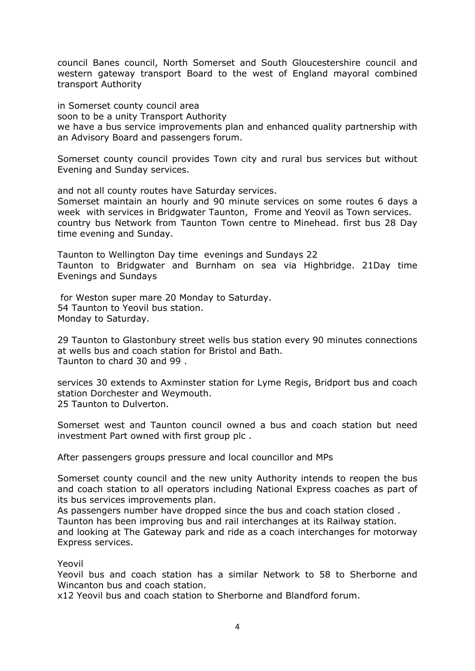council Banes council, North Somerset and South Gloucestershire council and western gateway transport Board to the west of England mayoral combined transport Authority

in Somerset county council area soon to be a unity Transport Authority we have a bus service improvements plan and enhanced quality partnership with an Advisory Board and passengers forum.

Somerset county council provides Town city and rural bus services but without Evening and Sunday services.

and not all county routes have Saturday services. Somerset maintain an hourly and 90 minute services on some routes 6 days a week with services in Bridgwater Taunton, Frome and Yeovil as Town services. country bus Network from Taunton Town centre to Minehead. first bus 28 Day time evening and Sunday.

Taunton to Wellington Day time evenings and Sundays 22 Taunton to Bridgwater and Burnham on sea via Highbridge. 21Day time Evenings and Sundays

for Weston super mare 20 Monday to Saturday. 54 Taunton to Yeovil bus station. Monday to Saturday.

29 Taunton to Glastonbury street wells bus station every 90 minutes connections at wells bus and coach station for Bristol and Bath. Taunton to chard 30 and 99 .

services 30 extends to Axminster station for Lyme Regis, Bridport bus and coach station Dorchester and Weymouth. 25 Taunton to Dulverton.

Somerset west and Taunton council owned a bus and coach station but need investment Part owned with first group plc .

After passengers groups pressure and local councillor and MPs

Somerset county council and the new unity Authority intends to reopen the bus and coach station to all operators including National Express coaches as part of its bus services improvements plan.

As passengers number have dropped since the bus and coach station closed .

Taunton has been improving bus and rail interchanges at its Railway station.

and looking at The Gateway park and ride as a coach interchanges for motorway Express services.

## Yeovil

Yeovil bus and coach station has a similar Network to 58 to Sherborne and Wincanton bus and coach station.

x12 Yeovil bus and coach station to Sherborne and Blandford forum.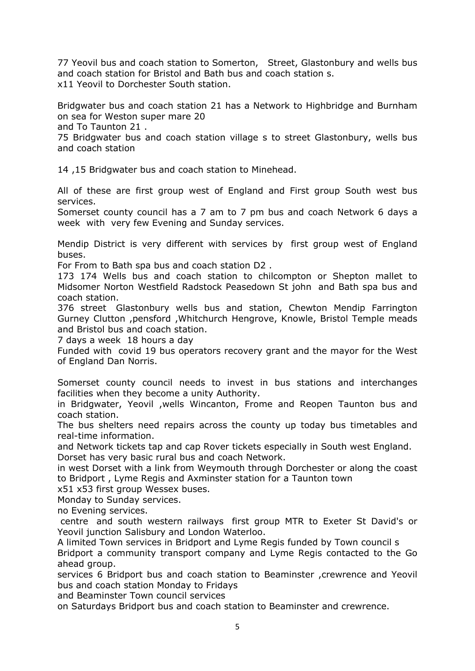77 Yeovil bus and coach station to Somerton, Street, Glastonbury and wells bus and coach station for Bristol and Bath bus and coach station s. x11 Yeovil to Dorchester South station.

Bridgwater bus and coach station 21 has a Network to Highbridge and Burnham on sea for Weston super mare 20

and To Taunton 21 .

75 Bridgwater bus and coach station village s to street Glastonbury, wells bus and coach station

14 ,15 Bridgwater bus and coach station to Minehead.

All of these are first group west of England and First group South west bus services.

Somerset county council has a 7 am to 7 pm bus and coach Network 6 days a week with very few Evening and Sunday services.

Mendip District is very different with services by first group west of England buses.

For From to Bath spa bus and coach station D2 .

173 174 Wells bus and coach station to chilcompton or Shepton mallet to Midsomer Norton Westfield Radstock Peasedown St john and Bath spa bus and coach station.

376 street Glastonbury wells bus and station, Chewton Mendip Farrington Gurney Clutton ,pensford ,Whitchurch Hengrove, Knowle, Bristol Temple meads and Bristol bus and coach station.

7 days a week 18 hours a day

Funded with covid 19 bus operators recovery grant and the mayor for the West of England Dan Norris.

Somerset county council needs to invest in bus stations and interchanges facilities when they become a unity Authority.

in Bridgwater, Yeovil ,wells Wincanton, Frome and Reopen Taunton bus and coach station.

The bus shelters need repairs across the county up today bus timetables and real-time information.

and Network tickets tap and cap Rover tickets especially in South west England. Dorset has very basic rural bus and coach Network.

in west Dorset with a link from Weymouth through Dorchester or along the coast to Bridport , Lyme Regis and Axminster station for a Taunton town

x51 x53 first group Wessex buses.

Monday to Sunday services.

no Evening services.

centre and south western railways first group MTR to Exeter St David's or Yeovil junction Salisbury and London Waterloo.

A limited Town services in Bridport and Lyme Regis funded by Town council s Bridport a community transport company and Lyme Regis contacted to the Go ahead group.

services 6 Bridport bus and coach station to Beaminster ,crewrence and Yeovil bus and coach station Monday to Fridays

and Beaminster Town council services

on Saturdays Bridport bus and coach station to Beaminster and crewrence.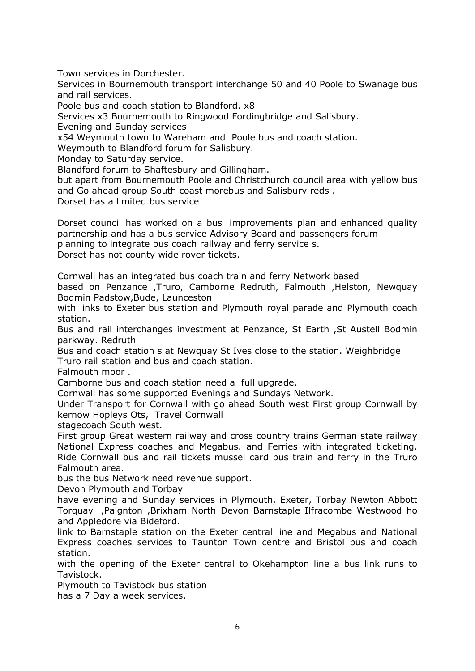Town services in Dorchester.

Services in Bournemouth transport interchange 50 and 40 Poole to Swanage bus and rail services.

Poole bus and coach station to Blandford. x8

Services x3 Bournemouth to Ringwood Fordingbridge and Salisbury.

Evening and Sunday services

x54 Weymouth town to Wareham and Poole bus and coach station.

Weymouth to Blandford forum for Salisbury.

Monday to Saturday service.

Blandford forum to Shaftesbury and Gillingham.

but apart from Bournemouth Poole and Christchurch council area with yellow bus and Go ahead group South coast morebus and Salisbury reds .

Dorset has a limited bus service

Dorset council has worked on a bus improvements plan and enhanced quality partnership and has a bus service Advisory Board and passengers forum planning to integrate bus coach railway and ferry service s.

Dorset has not county wide rover tickets.

Cornwall has an integrated bus coach train and ferry Network based

based on Penzance ,Truro, Camborne Redruth, Falmouth ,Helston, Newquay Bodmin Padstow,Bude, Launceston

with links to Exeter bus station and Plymouth royal parade and Plymouth coach station.

Bus and rail interchanges investment at Penzance, St Earth ,St Austell Bodmin parkway. Redruth

Bus and coach station s at Newquay St Ives close to the station. Weighbridge Truro rail station and bus and coach station.

Falmouth moor .

Camborne bus and coach station need a full upgrade.

Cornwall has some supported Evenings and Sundays Network.

Under Transport for Cornwall with go ahead South west First group Cornwall by kernow Hopleys Ots, Travel Cornwall

stagecoach South west.

First group Great western railway and cross country trains German state railway National Express coaches and Megabus. and Ferries with integrated ticketing. Ride Cornwall bus and rail tickets mussel card bus train and ferry in the Truro Falmouth area.

bus the bus Network need revenue support.

Devon Plymouth and Torbay

have evening and Sunday services in Plymouth, Exeter, Torbay Newton Abbott Torquay ,Paignton ,Brixham North Devon Barnstaple Ilfracombe Westwood ho and Appledore via Bideford.

link to Barnstaple station on the Exeter central line and Megabus and National Express coaches services to Taunton Town centre and Bristol bus and coach station.

with the opening of the Exeter central to Okehampton line a bus link runs to Tavistock.

Plymouth to Tavistock bus station

has a 7 Day a week services.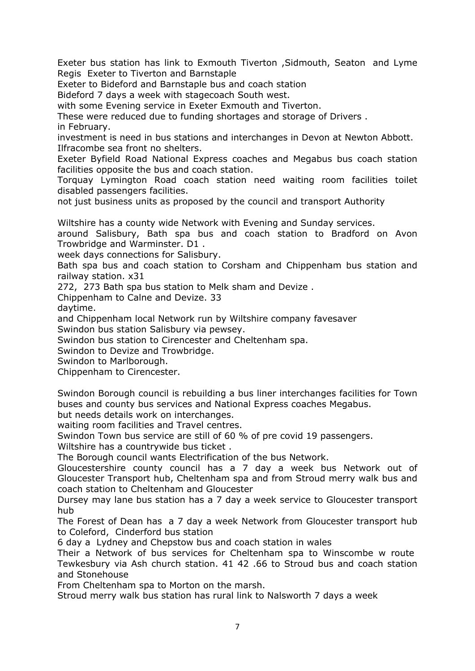Exeter bus station has link to Exmouth Tiverton ,Sidmouth, Seaton and Lyme Regis Exeter to Tiverton and Barnstaple

Exeter to Bideford and Barnstaple bus and coach station

Bideford 7 days a week with stagecoach South west.

with some Evening service in Exeter Exmouth and Tiverton.

These were reduced due to funding shortages and storage of Drivers . in February.

investment is need in bus stations and interchanges in Devon at Newton Abbott. Ilfracombe sea front no shelters.

Exeter Byfield Road National Express coaches and Megabus bus coach station facilities opposite the bus and coach station.

Torquay Lymington Road coach station need waiting room facilities toilet disabled passengers facilities.

not just business units as proposed by the council and transport Authority

Wiltshire has a county wide Network with Evening and Sunday services.

around Salisbury, Bath spa bus and coach station to Bradford on Avon Trowbridge and Warminster. D1 .

week days connections for Salisbury.

Bath spa bus and coach station to Corsham and Chippenham bus station and railway station. x31

272, 273 Bath spa bus station to Melk sham and Devize .

Chippenham to Calne and Devize. 33

daytime.

and Chippenham local Network run by Wiltshire company favesaver

Swindon bus station Salisbury via pewsey.

Swindon bus station to Cirencester and Cheltenham spa.

Swindon to Devize and Trowbridge.

Swindon to Marlborough.

Chippenham to Cirencester.

Swindon Borough council is rebuilding a bus liner interchanges facilities for Town buses and county bus services and National Express coaches Megabus.

but needs details work on interchanges.

waiting room facilities and Travel centres.

Swindon Town bus service are still of 60 % of pre covid 19 passengers.

Wiltshire has a countrywide bus ticket .

The Borough council wants Electrification of the bus Network.

Gloucestershire county council has a 7 day a week bus Network out of Gloucester Transport hub, Cheltenham spa and from Stroud merry walk bus and coach station to Cheltenham and Gloucester

Dursey may lane bus station has a 7 day a week service to Gloucester transport hub

The Forest of Dean has a 7 day a week Network from Gloucester transport hub to Coleford, Cinderford bus station

6 day a Lydney and Chepstow bus and coach station in wales

Their a Network of bus services for Cheltenham spa to Winscombe w route Tewkesbury via Ash church station. 41 42 .66 to Stroud bus and coach station and Stonehouse

From Cheltenham spa to Morton on the marsh.

Stroud merry walk bus station has rural link to Nalsworth 7 days a week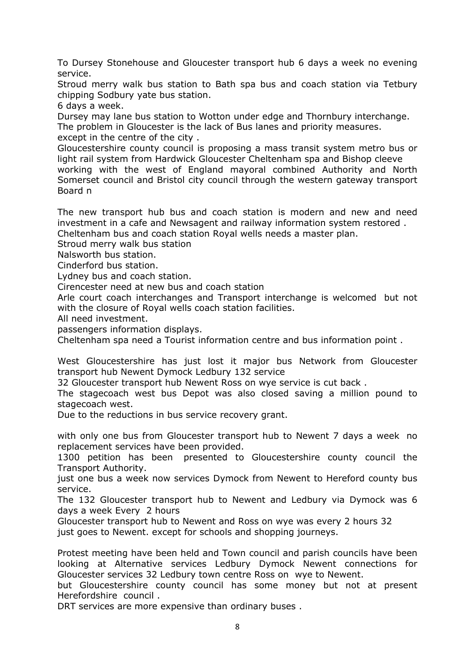To Dursey Stonehouse and Gloucester transport hub 6 days a week no evening service.

Stroud merry walk bus station to Bath spa bus and coach station via Tetbury chipping Sodbury yate bus station.

6 days a week.

Dursey may lane bus station to Wotton under edge and Thornbury interchange. The problem in Gloucester is the lack of Bus lanes and priority measures. except in the centre of the city .

Gloucestershire county council is proposing a mass transit system metro bus or light rail system from Hardwick Gloucester Cheltenham spa and Bishop cleeve working with the west of England mayoral combined Authority and North Somerset council and Bristol city council through the western gateway transport Board n

The new transport hub bus and coach station is modern and new and need investment in a cafe and Newsagent and railway information system restored . Cheltenham bus and coach station Royal wells needs a master plan.

Stroud merry walk bus station

Nalsworth bus station.

Cinderford bus station.

Lydney bus and coach station.

Cirencester need at new bus and coach station

Arle court coach interchanges and Transport interchange is welcomed but not with the closure of Royal wells coach station facilities.

All need investment.

passengers information displays.

Cheltenham spa need a Tourist information centre and bus information point .

West Gloucestershire has just lost it major bus Network from Gloucester transport hub Newent Dymock Ledbury 132 service

32 Gloucester transport hub Newent Ross on wye service is cut back .

The stagecoach west bus Depot was also closed saving a million pound to stagecoach west.

Due to the reductions in bus service recovery grant.

with only one bus from Gloucester transport hub to Newent 7 days a week no replacement services have been provided.

1300 petition has been presented to Gloucestershire county council the Transport Authority.

just one bus a week now services Dymock from Newent to Hereford county bus service.

The 132 Gloucester transport hub to Newent and Ledbury via Dymock was 6 days a week Every 2 hours

Gloucester transport hub to Newent and Ross on wye was every 2 hours 32

just goes to Newent. except for schools and shopping journeys.

Protest meeting have been held and Town council and parish councils have been looking at Alternative services Ledbury Dymock Newent connections for Gloucester services 32 Ledbury town centre Ross on wye to Newent.

but Gloucestershire county council has some money but not at present Herefordshire council .

DRT services are more expensive than ordinary buses .